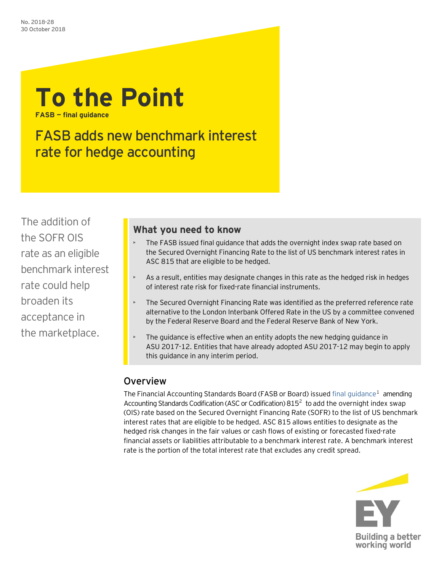

FASB adds new benchmark interest rate for hedge accounting

The addition of the SOFR OIS rate as an eligible benchmark interest rate could help broaden its acceptance in the marketplace.

## **What you need to know**

- The FASB issued final guidance that adds the overnight index swap rate based on the Secured Overnight Financing Rate to the list of US benchmark interest rates in ASC 815 that are eligible to be hedged.
- $\triangleright$  As a result, entities may designate changes in this rate as the hedged risk in hedges of interest rate risk for fixed-rate financial instruments.
- The Secured Overnight Financing Rate was identified as the preferred reference rate alternative to the London Interbank Offered Rate in the US by a committee convened by the Federal Reserve Board and the Federal Reserve Bank of New York.
- The guidance is effective when an entity adopts the new hedging guidance in ASU 2017-12. Entities that have already adopted ASU 2017-12 may begin to apply this guidance in any interim period.

# Overview

The Financial Accounting Standards Board (FASB or Board) issued final quidance<sup>[1](#page-3-0)</sup> amending Accounting Standards Codification (ASC or Codification)  $815<sup>2</sup>$  to add the overnight index swap (OIS) rate based on the Secured Overnight Financing Rate (SOFR) to the list of US benchmark interest rates that are eligible to be hedged. ASC 815 allows entities to designate as the hedged risk changes in the fair values or cash flows of existing or forecasted fixed-rate financial assets or liabilities attributable to a benchmark interest rate. A benchmark interest rate is the portion of the total interest rate that excludes any credit spread.

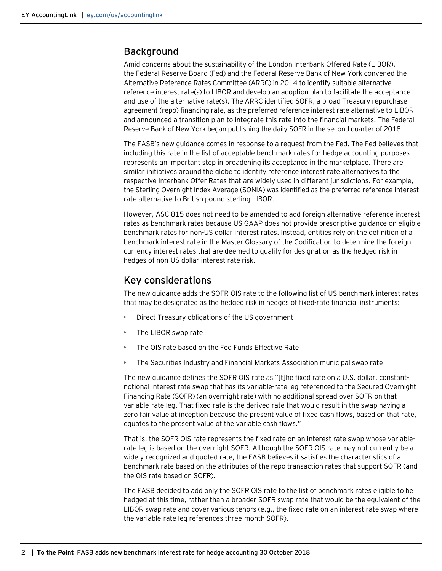## Background

Amid concerns about the sustainability of the London Interbank Offered Rate (LIBOR), the Federal Reserve Board (Fed) and the Federal Reserve Bank of New York convened the Alternative Reference Rates Committee (ARRC) in 2014 to identify suitable alternative reference interest rate(s) to LIBOR and develop an adoption plan to facilitate the acceptance and use of the alternative rate(s). The ARRC identified SOFR, a broad Treasury repurchase agreement (repo) financing rate, as the preferred reference interest rate alternative to LIBOR and announced a transition plan to integrate this rate into the financial markets. The Federal Reserve Bank of New York began publishing the daily SOFR in the second quarter of 2018.

The FASB's new guidance comes in response to a request from the Fed. The Fed believes that including this rate in the list of acceptable benchmark rates for hedge accounting purposes represents an important step in broadening its acceptance in the marketplace. There are similar initiatives around the globe to identify reference interest rate alternatives to the respective Interbank Offer Rates that are widely used in different jurisdictions. For example, the Sterling Overnight Index Average (SONIA) was identified as the preferred reference interest rate alternative to British pound sterling LIBOR.

However, ASC 815 does not need to be amended to add foreign alternative reference interest rates as benchmark rates because US GAAP does not provide prescriptive guidance on eligible benchmark rates for non-US dollar interest rates. Instead, entities rely on the definition of a benchmark interest rate in the Master Glossary of the Codification to determine the foreign currency interest rates that are deemed to qualify for designation as the hedged risk in hedges of non-US dollar interest rate risk.

## Key considerations

The new guidance adds the SOFR OIS rate to the following list of US benchmark interest rates that may be designated as the hedged risk in hedges of fixed-rate financial instruments:

- Direct Treasury obligations of the US government
- The LIBOR swap rate
- The OIS rate based on the Fed Funds Effective Rate
- The Securities Industry and Financial Markets Association municipal swap rate

The new guidance defines the SOFR OIS rate as "[t]he fixed rate on a U.S. dollar, constantnotional interest rate swap that has its variable-rate leg referenced to the Secured Overnight Financing Rate (SOFR) (an overnight rate) with no additional spread over SOFR on that variable-rate leg. That fixed rate is the derived rate that would result in the swap having a zero fair value at inception because the present value of fixed cash flows, based on that rate, equates to the present value of the variable cash flows."

That is, the SOFR OIS rate represents the fixed rate on an interest rate swap whose variablerate leg is based on the overnight SOFR. Although the SOFR OIS rate may not currently be a widely recognized and quoted rate, the FASB believes it satisfies the characteristics of a benchmark rate based on the attributes of the repo transaction rates that support SOFR (and the OIS rate based on SOFR).

The FASB decided to add only the SOFR OIS rate to the list of benchmark rates eligible to be hedged at this time, rather than a broader SOFR swap rate that would be the equivalent of the LIBOR swap rate and cover various tenors (e.g., the fixed rate on an interest rate swap where the variable-rate leg references three-month SOFR).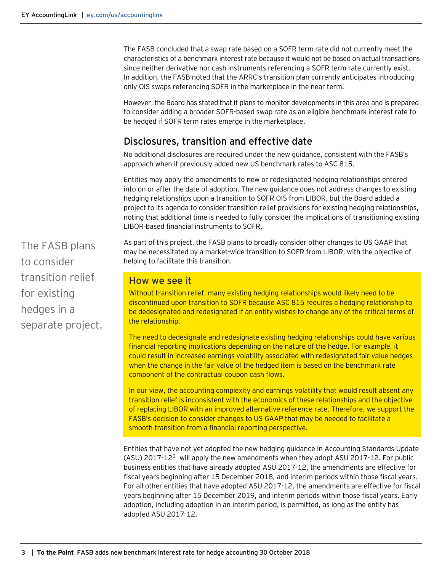The FASB concluded that a swap rate based on a SOFR term rate did not currently meet the characteristics of a benchmark interest rate because it would not be based on actual transactions since neither derivative nor cash instruments referencing a SOFR term rate currently exist. In addition, the FASB noted that the ARRC's transition plan currently anticipates introducing only OIS swaps referencing SOFR in the marketplace in the near term.

However, the Board has stated that it plans to monitor developments in this area and is prepared to consider adding a broader SOFR-based swap rate as an eligible benchmark interest rate to be hedged if SOFR term rates emerge in the marketplace.

#### Disclosures, transition and effective date

No additional disclosures are required under the new guidance, consistent with the FASB's approach when it previously added new US benchmark rates to ASC 815.

Entities may apply the amendments to new or redesignated hedging relationships entered into on or after the date of adoption. The new guidance does not address changes to existing hedging relationships upon a transition to SOFR OIS from LIBOR, but the Board added a project to its agenda to consider transition relief provisions for existing hedging relationships, noting that additional time is needed to fully consider the implications of transitioning existing LIBOR-based financial instruments to SOFR.

As part of this project, the FASB plans to broadly consider other changes to US GAAP that may be necessitated by a market-wide transition to SOFR from LIBOR, with the objective of helping to facilitate this transition.

#### How we see it

Without transition relief, many existing hedging relationships would likely need to be discontinued upon transition to SOFR because ASC 815 requires a hedging relationship to be dedesignated and redesignated if an entity wishes to change any of the critical terms of the relationship.

The need to dedesignate and redesignate existing hedging relationships could have various financial reporting implications depending on the nature of the hedge. For example, it could result in increased earnings volatility associated with redesignated fair value hedges when the change in the fair value of the hedged item is based on the benchmark rate component of the contractual coupon cash flows.

In our view, the accounting complexity and earnings volatility that would result absent any transition relief is inconsistent with the economics of these relationships and the objective of replacing LIBOR with an improved alternative reference rate. Therefore, we support the FASB's decision to consider changes to US GAAP that may be needed to facilitate a smooth transition from a financial reporting perspective.

Entities that have not yet adopted the new hedging guidance in Accounting Standards Update  $(ASU)$  2017-12<sup>[3](#page-3-2)</sup> will apply the new amendments when they adopt ASU 2017-12. For public business entities that have already adopted ASU 2017-12, the amendments are effective for fiscal years beginning after 15 December 2018, and interim periods within those fiscal years. For all other entities that have adopted ASU 2017-12, the amendments are effective for fiscal years beginning after 15 December 2019, and interim periods within those fiscal years. Early adoption, including adoption in an interim period, is permitted, as long as the entity has adopted ASU 2017-12.

The FASB plans to consider transition relief for existing hedges in a separate project.